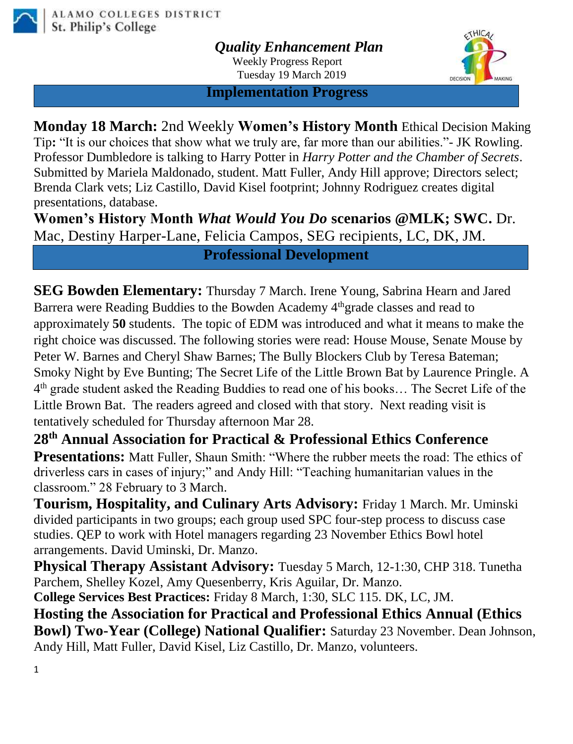

*Quality Enhancement Plan*

Weekly Progress Report Tuesday 19 March 2019



 **Implementation Progress**

**Monday 18 March:** 2nd Weekly **Women's History Month** Ethical Decision Making Tip**:** "It is our choices that show what we truly are, far more than our abilities."- JK Rowling. Professor Dumbledore is talking to Harry Potter in *Harry Potter and the Chamber of Secrets*. Submitted by Mariela Maldonado, student. Matt Fuller, Andy Hill approve; Directors select; Brenda Clark vets; Liz Castillo, David Kisel footprint; Johnny Rodriguez creates digital presentations, database.

**Women's History Month** *What Would You Do* **scenarios @MLK; SWC.** Dr. Mac, Destiny Harper-Lane, Felicia Campos, SEG recipients, LC, DK, JM.

**Professional Development**

**SEG Bowden Elementary:** Thursday 7 March. Irene Young, Sabrina Hearn and Jared Barrera were Reading Buddies to the Bowden Academy 4<sup>th</sup>grade classes and read to approximately **50** students. The topic of EDM was introduced and what it means to make the right choice was discussed. The following stories were read: House Mouse, Senate Mouse by Peter W. Barnes and Cheryl Shaw Barnes; The Bully Blockers Club by Teresa Bateman; Smoky Night by Eve Bunting; The Secret Life of the Little Brown Bat by Laurence Pringle. A 4<sup>th</sup> grade student asked the Reading Buddies to read one of his books... The Secret Life of the Little Brown Bat. The readers agreed and closed with that story. Next reading visit is tentatively scheduled for Thursday afternoon Mar 28.

**28th Annual Association for Practical & Professional Ethics Conference Presentations:** Matt Fuller, Shaun Smith: "Where the rubber meets the road: The ethics of driverless cars in cases of injury;" and Andy Hill: "Teaching humanitarian values in the classroom." 28 February to 3 March.

**Tourism, Hospitality, and Culinary Arts Advisory:** Friday 1 March. Mr. Uminski divided participants in two groups; each group used SPC four-step process to discuss case studies. QEP to work with Hotel managers regarding 23 November Ethics Bowl hotel arrangements. David Uminski, Dr. Manzo.

**Physical Therapy Assistant Advisory:** Tuesday 5 March, 12-1:30, CHP 318. Tunetha Parchem, Shelley Kozel, Amy Quesenberry, Kris Aguilar, Dr. Manzo.

**College Services Best Practices:** Friday 8 March, 1:30, SLC 115. DK, LC, JM.

**Hosting the Association for Practical and Professional Ethics Annual (Ethics Bowl) Two-Year (College) National Qualifier:** Saturday 23 November. Dean Johnson, Andy Hill, Matt Fuller, David Kisel, Liz Castillo, Dr. Manzo, volunteers.